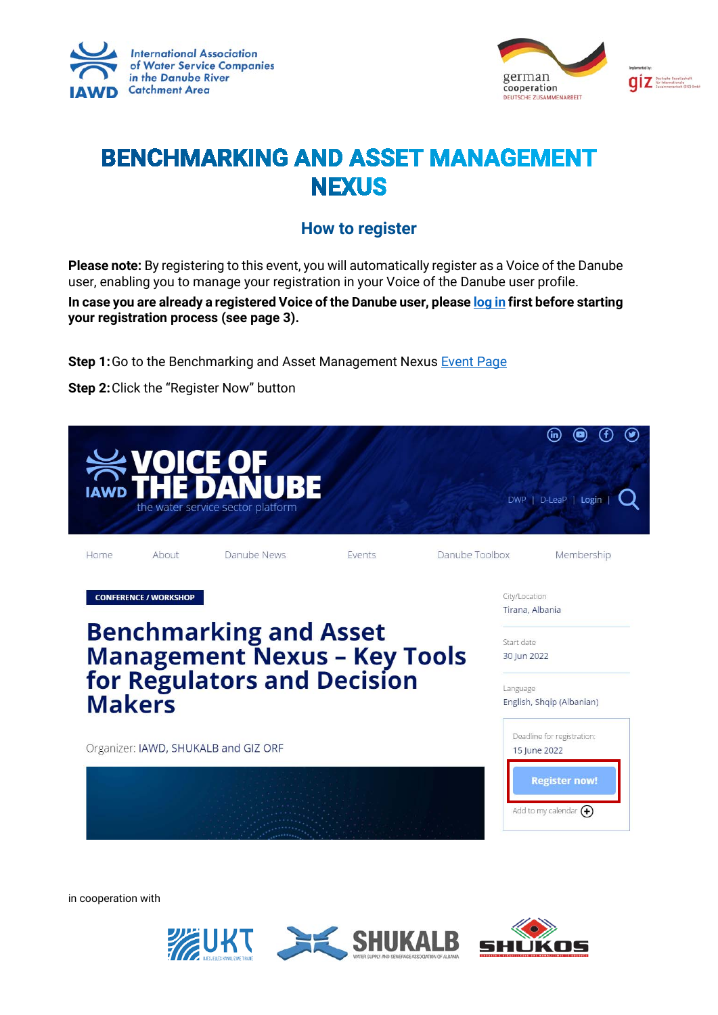



## **BENCHMARKING AND ASSET MANAGEMENT NEXUS**

## **How to register**

**Please note:** By registering to this event, you will automatically register as a Voice of the Danube user, enabling you to manage your registration in your Voice of the Danube user profile.

**In case you are already a registered Voice of the Danube user, please log in first before starting your registration process (see page 3).**

**Step 1:** Go to the Benchmarking and Asset Management Nexus **Event Page** 

**Step 2:**Click the "Register Now" button



in cooperation with

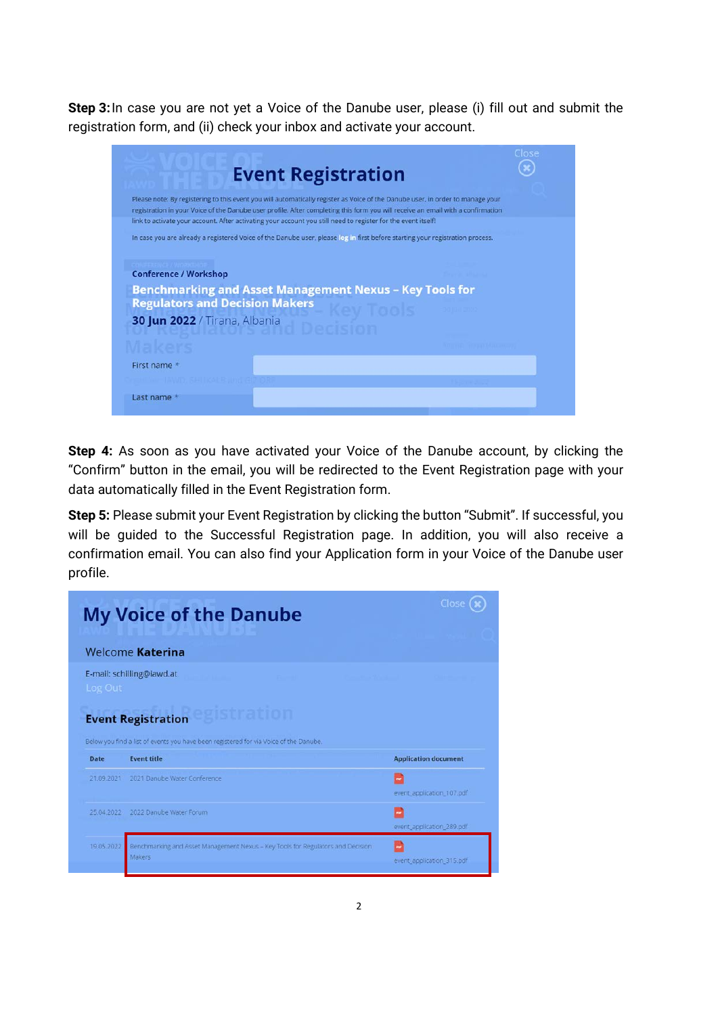**Step 3:**In case you are not yet a Voice of the Danube user, please (i) fill out and submit the registration form, and (ii) check your inbox and activate your account.

| Please note: By registering to this event you will automatically register as Voice of the Danube user, in order to manage your<br>registration in your Voice of the Danube user profile. After completing this form you will receive an email with a confirmation<br>link to activate your account. After activating your account you still need to register for the event itself!<br>In case you are already a registered Voice of the Danube user, please log in first before starting your registration process.<br><b>Conference / Workshop</b><br><b>Benchmarking and Asset Management Nexus - Key Tools for</b><br><b>Regulators and Decision Makers</b><br>30 Jun 2022 / Tirana, Albania<br>First name * | Clos |
|-----------------------------------------------------------------------------------------------------------------------------------------------------------------------------------------------------------------------------------------------------------------------------------------------------------------------------------------------------------------------------------------------------------------------------------------------------------------------------------------------------------------------------------------------------------------------------------------------------------------------------------------------------------------------------------------------------------------|------|
|                                                                                                                                                                                                                                                                                                                                                                                                                                                                                                                                                                                                                                                                                                                 |      |
|                                                                                                                                                                                                                                                                                                                                                                                                                                                                                                                                                                                                                                                                                                                 |      |
|                                                                                                                                                                                                                                                                                                                                                                                                                                                                                                                                                                                                                                                                                                                 |      |
|                                                                                                                                                                                                                                                                                                                                                                                                                                                                                                                                                                                                                                                                                                                 |      |
|                                                                                                                                                                                                                                                                                                                                                                                                                                                                                                                                                                                                                                                                                                                 |      |
|                                                                                                                                                                                                                                                                                                                                                                                                                                                                                                                                                                                                                                                                                                                 |      |
|                                                                                                                                                                                                                                                                                                                                                                                                                                                                                                                                                                                                                                                                                                                 |      |
|                                                                                                                                                                                                                                                                                                                                                                                                                                                                                                                                                                                                                                                                                                                 |      |
|                                                                                                                                                                                                                                                                                                                                                                                                                                                                                                                                                                                                                                                                                                                 |      |
|                                                                                                                                                                                                                                                                                                                                                                                                                                                                                                                                                                                                                                                                                                                 |      |
|                                                                                                                                                                                                                                                                                                                                                                                                                                                                                                                                                                                                                                                                                                                 |      |
| Last name *                                                                                                                                                                                                                                                                                                                                                                                                                                                                                                                                                                                                                                                                                                     |      |

**Step 4:** As soon as you have activated your Voice of the Danube account, by clicking the "Confirm" button in the email, you will be redirected to the Event Registration page with your data automatically filled in the Event Registration form.

**Step 5:** Please submit your Event Registration by clicking the button "Submit". If successful, you will be guided to the Successful Registration page. In addition, you will also receive a confirmation email. You can also find your Application form in your Voice of the Danube user profile.